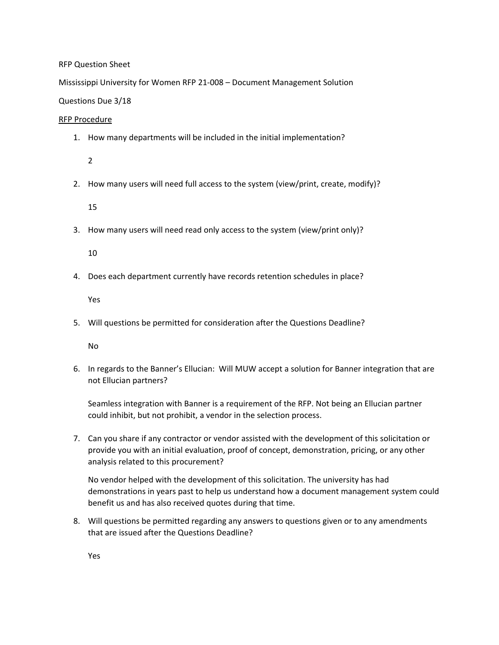## RFP Question Sheet

Mississippi University for Women RFP 21-008 – Document Management Solution

## Questions Due 3/18

## RFP Procedure

1. How many departments will be included in the initial implementation?

2

2. How many users will need full access to the system (view/print, create, modify)?

15

3. How many users will need read only access to the system (view/print only)?

10

4. Does each department currently have records retention schedules in place?

Yes

5. Will questions be permitted for consideration after the Questions Deadline?

No

6. In regards to the Banner's Ellucian: Will MUW accept a solution for Banner integration that are not Ellucian partners?

Seamless integration with Banner is a requirement of the RFP. Not being an Ellucian partner could inhibit, but not prohibit, a vendor in the selection process.

7. Can you share if any contractor or vendor assisted with the development of this solicitation or provide you with an initial evaluation, proof of concept, demonstration, pricing, or any other analysis related to this procurement?

No vendor helped with the development of this solicitation. The university has had demonstrations in years past to help us understand how a document management system could benefit us and has also received quotes during that time.

8. Will questions be permitted regarding any answers to questions given or to any amendments that are issued after the Questions Deadline?

Yes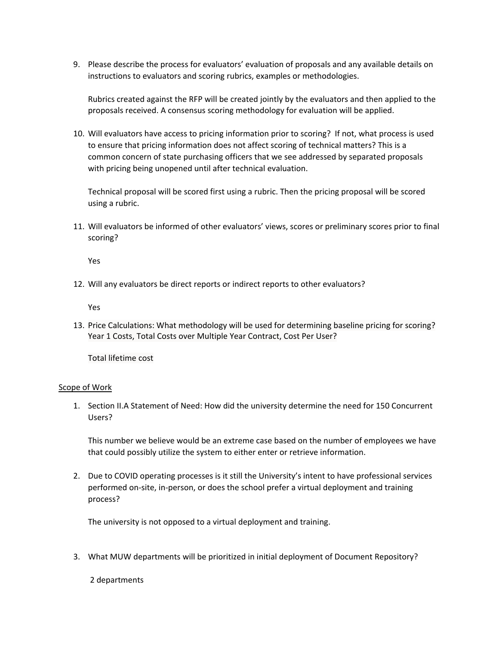9. Please describe the process for evaluators' evaluation of proposals and any available details on instructions to evaluators and scoring rubrics, examples or methodologies.

Rubrics created against the RFP will be created jointly by the evaluators and then applied to the proposals received. A consensus scoring methodology for evaluation will be applied.

10. Will evaluators have access to pricing information prior to scoring? If not, what process is used to ensure that pricing information does not affect scoring of technical matters? This is a common concern of state purchasing officers that we see addressed by separated proposals with pricing being unopened until after technical evaluation.

Technical proposal will be scored first using a rubric. Then the pricing proposal will be scored using a rubric.

11. Will evaluators be informed of other evaluators' views, scores or preliminary scores prior to final scoring?

Yes

12. Will any evaluators be direct reports or indirect reports to other evaluators?

Yes

13. Price Calculations: What methodology will be used for determining baseline pricing for scoring? Year 1 Costs, Total Costs over Multiple Year Contract, Cost Per User?

Total lifetime cost

#### Scope of Work

1. Section II.A Statement of Need: How did the university determine the need for 150 Concurrent Users?

This number we believe would be an extreme case based on the number of employees we have that could possibly utilize the system to either enter or retrieve information.

2. Due to COVID operating processes is it still the University's intent to have professional services performed on-site, in-person, or does the school prefer a virtual deployment and training process?

The university is not opposed to a virtual deployment and training.

3. What MUW departments will be prioritized in initial deployment of Document Repository?

2 departments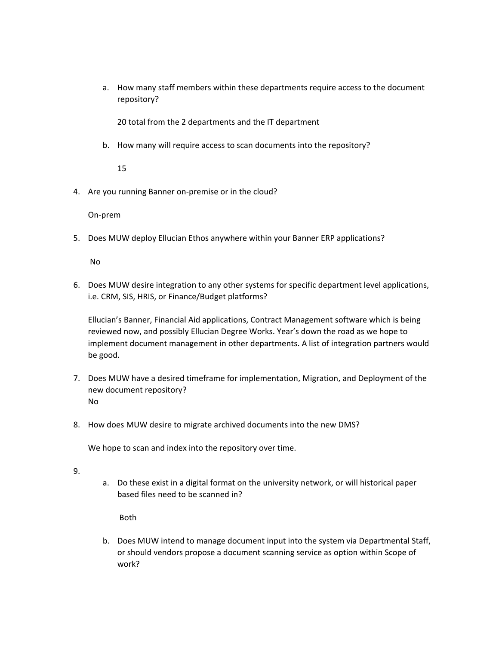a. How many staff members within these departments require access to the document repository?

20 total from the 2 departments and the IT department

b. How many will require access to scan documents into the repository?

15

4. Are you running Banner on-premise or in the cloud?

On-prem

5. Does MUW deploy Ellucian Ethos anywhere within your Banner ERP applications?

No

6. Does MUW desire integration to any other systems for specific department level applications, i.e. CRM, SIS, HRIS, or Finance/Budget platforms?

Ellucian's Banner, Financial Aid applications, Contract Management software which is being reviewed now, and possibly Ellucian Degree Works. Year's down the road as we hope to implement document management in other departments. A list of integration partners would be good.

- 7. Does MUW have a desired timeframe for implementation, Migration, and Deployment of the new document repository? No
- 8. How does MUW desire to migrate archived documents into the new DMS?

We hope to scan and index into the repository over time.

- 9.
- a. Do these exist in a digital format on the university network, or will historical paper based files need to be scanned in?

Both

b. Does MUW intend to manage document input into the system via Departmental Staff, or should vendors propose a document scanning service as option within Scope of work?